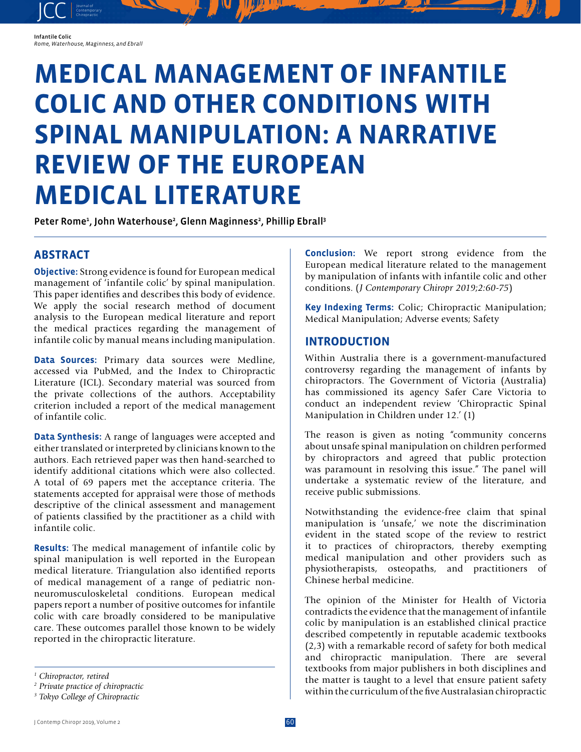Infantile Colic *Rome, Waterhouse, Maginness, and Ebrall*

JCC contemporary Contemporary

# **MEDICAL MANAGEMENT OF INFANTILE COLIC AND OTHER CONDITIONS WITH SPINAL MANIPULATION: A NARRATIVE REVIEW OF THE EUROPEAN MEDICAL LITERATURE**

Peter Rome<sup>1</sup>, John Waterhouse<sup>2</sup>, Glenn Maginness<sup>2</sup>, Phillip Ebrall<sup>3</sup>

## **ABSTRACT**

**Objective:** Strong evidence is found for European medical management of 'infantile colic' by spinal manipulation. This paper identifies and describes this body of evidence. We apply the social research method of document analysis to the European medical literature and report the medical practices regarding the management of infantile colic by manual means including manipulation.

**Data Sources:** Primary data sources were Medline, accessed via PubMed, and the Index to Chiropractic Literature (ICL). Secondary material was sourced from the private collections of the authors. Acceptability criterion included a report of the medical management of infantile colic.

**Data Synthesis:** A range of languages were accepted and either translated or interpreted by clinicians known to the authors. Each retrieved paper was then hand-searched to identify additional citations which were also collected. A total of 69 papers met the acceptance criteria. The statements accepted for appraisal were those of methods descriptive of the clinical assessment and management of patients classified by the practitioner as a child with infantile colic.

**Results:** The medical management of infantile colic by spinal manipulation is well reported in the European medical literature. Triangulation also identified reports of medical management of a range of pediatric nonneuromusculoskeletal conditions. European medical papers report a number of positive outcomes for infantile colic with care broadly considered to be manipulative care. These outcomes parallel those known to be widely reported in the chiropractic literature.

*1 Chiropractor, retired*

**Conclusion:** We report strong evidence from the European medical literature related to the management by manipulation of infants with infantile colic and other conditions. (*J Contemporary Chiropr 2019;2:60-75*)

**Key Indexing Terms:** Colic; Chiropractic Manipulation; Medical Manipulation; Adverse events; Safety

## **INTRODUCTION**

Within Australia there is a government-manufactured controversy regarding the management of infants by chiropractors. The Government of Victoria (Australia) has commissioned its agency Safer Care Victoria to conduct an independent review 'Chiropractic Spinal Manipulation in Children under 12.' (1)

The reason is given as noting "community concerns about unsafe spinal manipulation on children performed by chiropractors and agreed that public protection was paramount in resolving this issue." The panel will undertake a systematic review of the literature, and receive public submissions.

Notwithstanding the evidence-free claim that spinal manipulation is 'unsafe,' we note the discrimination evident in the stated scope of the review to restrict it to practices of chiropractors, thereby exempting medical manipulation and other providers such as physiotherapists, osteopaths, and practitioners of Chinese herbal medicine.

The opinion of the Minister for Health of Victoria contradicts the evidence that the management of infantile colic by manipulation is an established clinical practice described competently in reputable academic textbooks (2,3) with a remarkable record of safety for both medical and chiropractic manipulation. There are several textbooks from major publishers in both disciplines and the matter is taught to a level that ensure patient safety within the curriculum of the five Australasian chiropractic

*<sup>2</sup> Private practice of chiropractic*

*<sup>3</sup> Tokyo College of Chiropractic*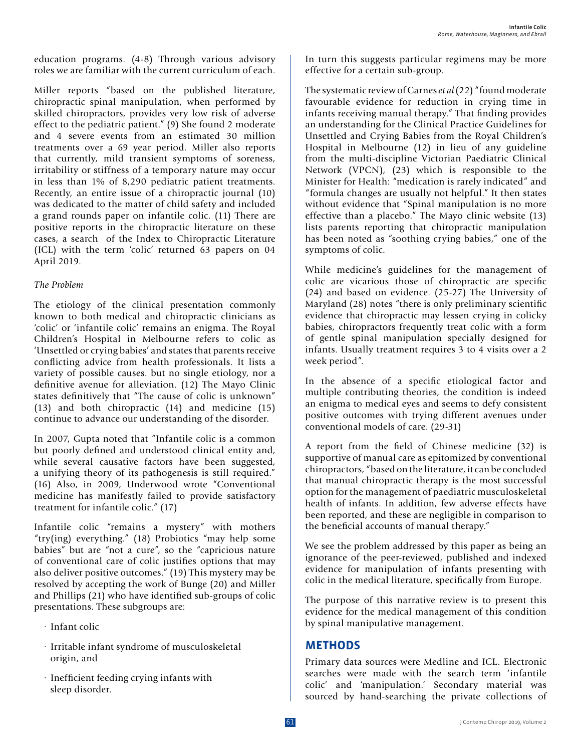education programs. (4-8) Through various advisory roles we are familiar with the current curriculum of each.

Miller reports "based on the published literature, chiropractic spinal manipulation, when performed by skilled chiropractors, provides very low risk of adverse effect to the pediatric patient." (9) She found 2 moderate and 4 severe events from an estimated 30 million treatments over a 69 year period. Miller also reports that currently, mild transient symptoms of soreness, irritability or stiffness of a temporary nature may occur in less than 1% of 8,290 pediatric patient treatments. Recently, an entire issue of a chiropractic journal (10) was dedicated to the matter of child safety and included a grand rounds paper on infantile colic. (11) There are positive reports in the chiropractic literature on these cases, a search of the Index to Chiropractic Literature (ICL) with the term 'colic' returned 63 papers on 04 April 2019.

#### *The Problem*

The etiology of the clinical presentation commonly known to both medical and chiropractic clinicians as 'colic' or 'infantile colic' remains an enigma. The Royal Children's Hospital in Melbourne refers to colic as 'Unsettled or crying babies' and states that parents receive conflicting advice from health professionals. It lists a variety of possible causes. but no single etiology, nor a definitive avenue for alleviation. (12) The Mayo Clinic states definitively that "The cause of colic is unknown" (13) and both chiropractic (14) and medicine (15) continue to advance our understanding of the disorder.

In 2007, Gupta noted that "Infantile colic is a common but poorly defined and understood clinical entity and, while several causative factors have been suggested, a unifying theory of its pathogenesis is still required." (16) Also, in 2009, Underwood wrote "Conventional medicine has manifestly failed to provide satisfactory treatment for infantile colic." (17)

Infantile colic "remains a mystery" with mothers "try(ing) everything." (18) Probiotics "may help some babies" but are "not a cure", so the "capricious nature of conventional care of colic justifies options that may also deliver positive outcomes." (19) This mystery may be resolved by accepting the work of Bunge (20) and Miller and Phillips (21) who have identified sub-groups of colic presentations. These subgroups are:

- · Infant colic
- · Irritable infant syndrome of musculoskeletal origin, and
- · Inefficient feeding crying infants with sleep disorder.

In turn this suggests particular regimens may be more effective for a certain sub-group.

The systematic review of Carnes *et al* (22) "found moderate favourable evidence for reduction in crying time in infants receiving manual therapy." That finding provides an understanding for the Clinical Practice Guidelines for Unsettled and Crying Babies from the Royal Children's Hospital in Melbourne (12) in lieu of any guideline from the multi-discipline Victorian Paediatric Clinical Network (VPCN), (23) which is responsible to the Minister for Health: "medication is rarely indicated" and "formula changes are usually not helpful." It then states without evidence that "Spinal manipulation is no more effective than a placebo." The Mayo clinic website (13) lists parents reporting that chiropractic manipulation has been noted as "soothing crying babies," one of the symptoms of colic.

While medicine's guidelines for the management of colic are vicarious those of chiropractic are specific (24) and based on evidence. (25-27) The University of Maryland (28) notes "there is only preliminary scientific evidence that chiropractic may lessen crying in colicky babies, chiropractors frequently treat colic with a form of gentle spinal manipulation specially designed for infants. Usually treatment requires 3 to 4 visits over a 2 week period".

In the absence of a specific etiological factor and multiple contributing theories, the condition is indeed an enigma to medical eyes and seems to defy consistent positive outcomes with trying different avenues under conventional models of care. (29-31)

A report from the field of Chinese medicine (32) is supportive of manual care as epitomized by conventional chiropractors, "based on the literature, it can be concluded that manual chiropractic therapy is the most successful option for the management of paediatric musculoskeletal health of infants. In addition, few adverse effects have been reported, and these are negligible in comparison to the beneficial accounts of manual therapy."

We see the problem addressed by this paper as being an ignorance of the peer-reviewed, published and indexed evidence for manipulation of infants presenting with colic in the medical literature, specifically from Europe.

The purpose of this narrative review is to present this evidence for the medical management of this condition by spinal manipulative management.

## **METHODS**

Primary data sources were Medline and ICL. Electronic searches were made with the search term 'infantile colic' and 'manipulation.' Secondary material was sourced by hand-searching the private collections of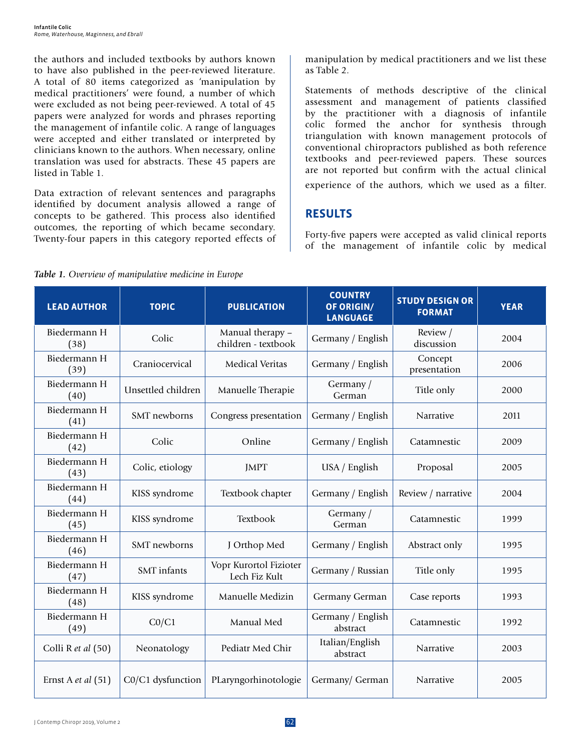the authors and included textbooks by authors known to have also published in the peer-reviewed literature. A total of 80 items categorized as 'manipulation by medical practitioners' were found, a number of which were excluded as not being peer-reviewed. A total of 45 papers were analyzed for words and phrases reporting the management of infantile colic. A range of languages were accepted and either translated or interpreted by clinicians known to the authors. When necessary, online translation was used for abstracts. These 45 papers are listed in Table 1.

Data extraction of relevant sentences and paragraphs identified by document analysis allowed a range of concepts to be gathered. This process also identified outcomes, the reporting of which became secondary. Twenty-four papers in this category reported effects of manipulation by medical practitioners and we list these as Table 2.

Statements of methods descriptive of the clinical assessment and management of patients classified by the practitioner with a diagnosis of infantile colic formed the anchor for synthesis through triangulation with known management protocols of conventional chiropractors published as both reference textbooks and peer-reviewed papers. These sources are not reported but confirm with the actual clinical experience of the authors, which we used as a filter.

## **RESULTS**

Forty-five papers were accepted as valid clinical reports of the management of infantile colic by medical

|  | Table 1. Overview of manipulative medicine in Europe |  |  |
|--|------------------------------------------------------|--|--|
|  |                                                      |  |  |

| <b>LEAD AUTHOR</b>   | <b>TOPIC</b>        | <b>PUBLICATION</b>                      | <b>COUNTRY</b><br>OF ORIGIN/<br><b>LANGUAGE</b> | <b>STUDY DESIGN OR</b><br><b>FORMAT</b> | <b>YEAR</b> |
|----------------------|---------------------|-----------------------------------------|-------------------------------------------------|-----------------------------------------|-------------|
| Biedermann H<br>(38) | Colic               | Manual therapy -<br>children - textbook | Germany / English                               | Review /<br>discussion                  | 2004        |
| Biedermann H<br>(39) | Craniocervical      | <b>Medical Veritas</b>                  | Germany / English                               | Concept<br>presentation                 | 2006        |
| Biedermann H<br>(40) | Unsettled children  | Manuelle Therapie                       | Germany /<br>German                             | Title only                              | 2000        |
| Biedermann H<br>(41) | <b>SMT</b> newborns | Congress presentation                   | Germany / English                               | Narrative                               | 2011        |
| Biedermann H<br>(42) | Colic               | Online                                  | Germany / English                               | Catamnestic                             | 2009        |
| Biedermann H<br>(43) | Colic, etiology     | <b>JMPT</b>                             | USA / English                                   | Proposal                                | 2005        |
| Biedermann H<br>(44) | KISS syndrome       | Textbook chapter                        | Germany / English                               | Review / narrative                      | 2004        |
| Biedermann H<br>(45) | KISS syndrome       | Textbook                                | Germany /<br>German                             | Catamnestic                             | 1999        |
| Biedermann H<br>(46) | SMT newborns        | J Orthop Med                            | Germany / English                               | Abstract only                           | 1995        |
| Biedermann H<br>(47) | <b>SMT</b> infants  | Vopr Kurortol Fizioter<br>Lech Fiz Kult | Germany / Russian                               | Title only                              | 1995        |
| Biedermann H<br>(48) | KISS syndrome       | Manuelle Medizin                        | Germany German                                  | Case reports                            | 1993        |
| Biedermann H<br>(49) | CO/C1               | Manual Med                              | Germany / English<br>abstract                   | Catamnestic                             | 1992        |
| Colli R et al (50)   | Neonatology         | Pediatr Med Chir                        | Italian/English<br>abstract                     | Narrative                               | 2003        |
| Ernst A et al $(51)$ | C0/C1 dysfunction   | PLaryngorhinotologie                    | Germany/ German                                 | <b>Narrative</b>                        | 2005        |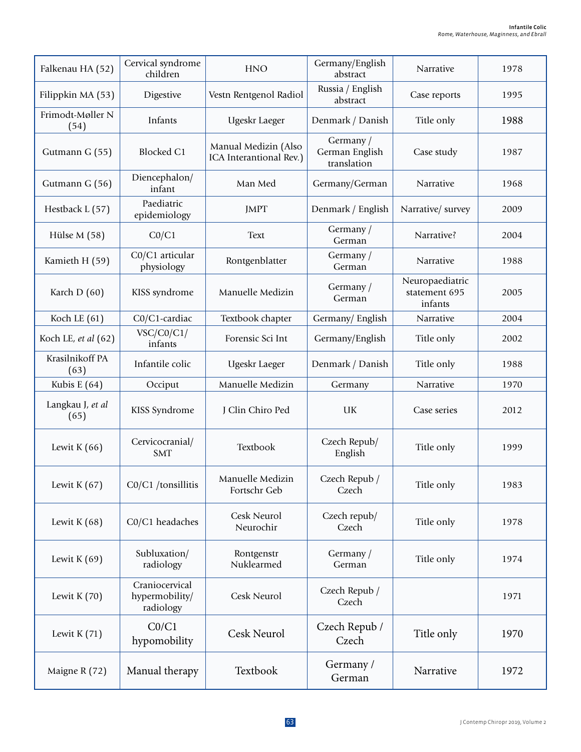| Falkenau HA (52)         | Cervical syndrome<br>children                 | <b>HNO</b>                                      | Germany/English<br>abstract                | Narrative                                   | 1978 |
|--------------------------|-----------------------------------------------|-------------------------------------------------|--------------------------------------------|---------------------------------------------|------|
| Filippkin MA (53)        | Digestive                                     | Vestn Rentgenol Radiol                          | Russia / English<br>abstract               | Case reports                                | 1995 |
| Frimodt-Møller N<br>(54) | Infants                                       | Ugeskr Laeger                                   | Denmark / Danish                           | Title only                                  | 1988 |
| Gutmann G (55)           | Blocked C1                                    | Manual Medizin (Also<br>ICA Interantional Rev.) | Germany /<br>German English<br>translation | Case study                                  | 1987 |
| Gutmann G (56)           | Diencephalon/<br>infant                       | Man Med                                         | Germany/German                             | Narrative                                   | 1968 |
| Hestback L (57)          | Paediatric<br>epidemiology                    | <b>JMPT</b>                                     | Denmark / English                          | Narrative/ survey                           | 2009 |
| Hülse M (58)             | CO/C1                                         | <b>Text</b>                                     | Germany /<br>German                        | Narrative?                                  | 2004 |
| Kamieth H (59)           | C0/C1 articular<br>physiology                 | Rontgenblatter                                  | Germany /<br>German                        | Narrative                                   | 1988 |
| Karch D (60)             | KISS syndrome                                 | Manuelle Medizin                                | Germany /<br>German                        | Neuropaediatric<br>statement 695<br>infants | 2005 |
| Koch LE $(61)$           | C0/C1-cardiac                                 | Textbook chapter                                | Germany/English                            | Narrative                                   | 2004 |
| Koch LE, et al (62)      | VSC/CO/C1/<br>infants                         | Forensic Sci Int                                | Germany/English                            | Title only                                  | 2002 |
| Krasilnikoff PA<br>(63)  | Infantile colic                               | Ugeskr Laeger                                   | Denmark / Danish                           | Title only                                  | 1988 |
| Kubis E $(64)$           | Occiput                                       | Manuelle Medizin                                | Germany                                    | Narrative                                   | 1970 |
| Langkau J, et al<br>(65) | KISS Syndrome                                 | J Clin Chiro Ped                                | UK                                         | Case series                                 | 2012 |
| Lewit K $(66)$           | Cervicocranial/<br><b>SMT</b>                 | Textbook                                        | Czech Repub/<br>English                    | Title only                                  | 1999 |
| Lewit K $(67)$           | $CO/C1$ /tonsillitis                          | Manuelle Medizin<br>Fortschr Geb                | Czech Repub /<br>Czech                     | Title only                                  | 1983 |
| Lewit K $(68)$           | C0/C1 headaches                               | Cesk Neurol<br>Neurochir                        | Czech repub/<br>Czech                      | Title only                                  | 1978 |
| Lewit K $(69)$           | Subluxation/<br>radiology                     | Rontgenstr<br>Nuklearmed                        | Germany /<br>German                        | Title only                                  | 1974 |
| Lewit K $(70)$           | Craniocervical<br>hypermobility/<br>radiology | Cesk Neurol                                     | Czech Repub /<br>Czech                     |                                             | 1971 |
| Lewit $K(71)$            | CO/C1<br>hypomobility                         | Cesk Neurol                                     | Czech Repub /<br>Czech                     | Title only                                  | 1970 |
| Maigne R (72)            | Manual therapy                                | Textbook                                        | Germany /<br>German                        | Narrative                                   | 1972 |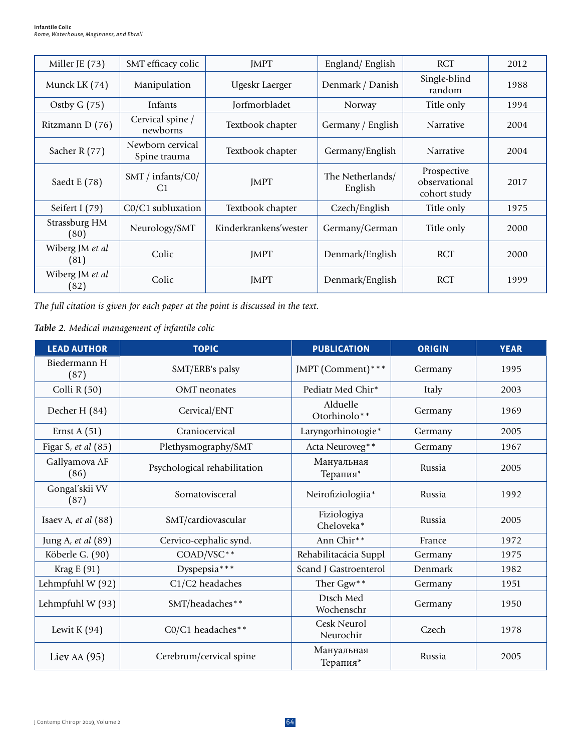| Miller JE (73)          | SMT efficacy colic                       | <b>JMPT</b>           | England/English             | <b>RCT</b>                                   | 2012 |
|-------------------------|------------------------------------------|-----------------------|-----------------------------|----------------------------------------------|------|
| Munck LK (74)           | Manipulation                             | Ugeskr Laerger        | Denmark / Danish            | Single-blind<br>random                       | 1988 |
| Ostby $G(75)$           | Infants                                  | Jorfmorbladet         | Norway                      | Title only                                   | 1994 |
| Ritzmann D (76)         | Cervical spine /<br>newborns             | Textbook chapter      | Germany / English           | <b>Narrative</b>                             | 2004 |
| Sacher R (77)           | Newborn cervical<br>Spine trauma         | Textbook chapter      | Germany/English             | <b>Narrative</b>                             | 2004 |
| Saedt E (78)            | $SMT /$ infants/ $CO/$<br>C <sub>1</sub> | <b>JMPT</b>           | The Netherlands/<br>English | Prospective<br>observational<br>cohort study | 2017 |
| Seifert I (79)          | C0/C1 subluxation                        | Textbook chapter      | Czech/English               | Title only                                   | 1975 |
| Strassburg HM<br>(80)   | Neurology/SMT                            | Kinderkrankens'wester | Germany/German              | Title only                                   | 2000 |
| Wiberg JM et al<br>(81) | Colic                                    | <b>IMPT</b>           | Denmark/English             | <b>RCT</b>                                   | 2000 |
| Wiberg JM et al<br>(82) | Colic                                    | <b>IMPT</b>           | Denmark/English             | <b>RCT</b>                                   | 1999 |

*The full citation is given for each paper at the point is discussed in the text.*

*Table 2. Medical management of infantile colic*

| <b>LEAD AUTHOR</b>     | <b>TOPIC</b>                 | <b>PUBLICATION</b>        | <b>ORIGIN</b> | <b>YEAR</b> |
|------------------------|------------------------------|---------------------------|---------------|-------------|
| Biedermann H<br>(87)   | SMT/ERB's palsy              | JMPT (Comment) ***        | Germany       | 1995        |
| Colli R $(50)$         | OMT neonates                 | Pediatr Med Chir*         | Italy         | 2003        |
| Decher H (84)          | Cervical/ENT                 | Alduelle<br>Otorhinolo**  | Germany       | 1969        |
| Ernst A $(51)$         | Craniocervical               | Laryngorhinotogie*        | Germany       | 2005        |
| Figar S, et al (85)    | Plethysmography/SMT          | Acta Neuroveg**           | Germany       | 1967        |
| Gallyamova AF<br>(86)  | Psychological rehabilitation | Мануальная<br>Терапия*    | Russia        | 2005        |
| Gongal'skii VV<br>(87) | Somatovisceral               | Neirofiziologiia*         | Russia        | 1992        |
| Isaev A, $et al (88)$  | SMT/cardiovascular           | Fiziologiya<br>Cheloveka* | Russia        | 2005        |
| Jung A, et al (89)     | Cervico-cephalic synd.       | Ann Chir**                | France        | 1972        |
| Köberle G. (90)        | COAD/VSC**                   | Rehabilitacácia Suppl     | Germany       | 1975        |
| Krag E (91)            | Dyspepsia***                 | Scand J Gastroenterol     | Denmark       | 1982        |
| Lehmpfuhl W (92)       | C1/C2 headaches              | Ther Ggw**                | Germany       | 1951        |
| Lehmpfuhl W (93)       | SMT/headaches**              | Dtsch Med<br>Wochenschr   | Germany       | 1950        |
| Lewit K $(94)$         | C0/C1 headaches**            | Cesk Neurol<br>Neurochir  | Czech         | 1978        |
| Liev AA $(95)$         | Cerebrum/cervical spine      | Мануальная<br>Терапия*    | Russia        | 2005        |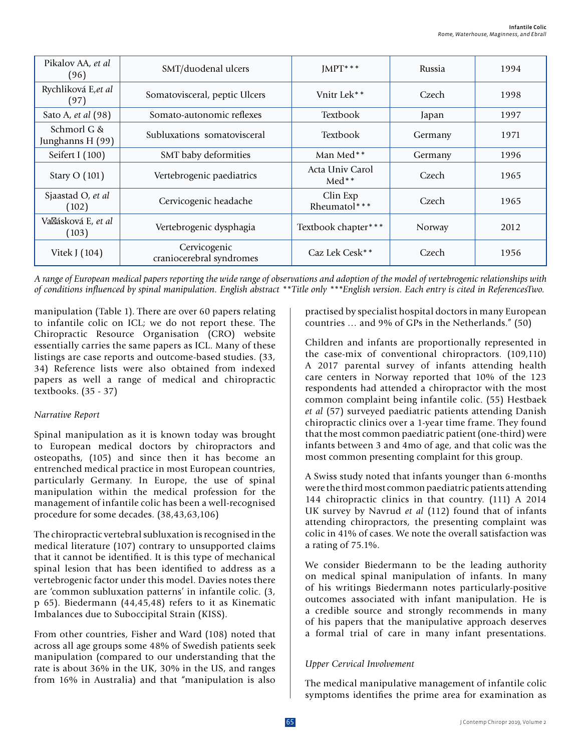| Pikalov AA, et al<br>(96)       | SMT/duodenal ulcers                      | $IMPT***$                  | Russia  | 1994 |
|---------------------------------|------------------------------------------|----------------------------|---------|------|
| Rychliková E,et al<br>(97)      | Somatovisceral, peptic Ulcers            | Vnitr Lek**                | Czech   | 1998 |
| Sato A, et al (98)              | Somato-autonomic reflexes                | <b>Textbook</b>            | Japan   | 1997 |
| Schmorl G &<br>Junghanns H (99) | Subluxations somatovisceral              | <b>Textbook</b>            | Germany | 1971 |
| Seifert I (100)                 | SMT baby deformities                     | Man Med**                  | Germany | 1996 |
| Stary O (101)                   | Vertebrogenic paediatrics                | Acta Univ Carol<br>$Med**$ | Czech   | 1965 |
| Sjaastad O, et al<br>(102)      | Cervicogenic headache                    | Clin Exp<br>Rheumatol***   | Czech   | 1965 |
| Va ásková E, et al<br>(103)     | Vertebrogenic dysphagia                  | Textbook chapter***        | Norway  | 2012 |
| Vitek J (104)                   | Cervicogenic<br>craniocerebral syndromes | Caz Lek Cesk**             | Czech   | 1956 |

*A range of European medical papers reporting the wide range of observations and adoption of the model of vertebrogenic relationships with of conditions influenced by spinal manipulation. English abstract \*\*Title only \*\*\*English version. Each entry is cited in ReferencesTwo.*

manipulation (Table 1). There are over 60 papers relating to infantile colic on ICL; we do not report these. The Chiropractic Resource Organisation (CRO) website essentially carries the same papers as ICL. Many of these listings are case reports and outcome-based studies. (33, 34) Reference lists were also obtained from indexed papers as well a range of medical and chiropractic textbooks. (35 - 37)

#### *Narrative Report*

Spinal manipulation as it is known today was brought to European medical doctors by chiropractors and osteopaths, (105) and since then it has become an entrenched medical practice in most European countries, particularly Germany. In Europe, the use of spinal manipulation within the medical profession for the management of infantile colic has been a well-recognised procedure for some decades. (38,43,63,106)

The chiropractic vertebral subluxation is recognised in the medical literature (107) contrary to unsupported claims that it cannot be identified. It is this type of mechanical spinal lesion that has been identified to address as a vertebrogenic factor under this model. Davies notes there are 'common subluxation patterns' in infantile colic. (3, p 65). Biedermann (44,45,48) refers to it as Kinematic Imbalances due to Suboccipital Strain (KISS).

From other countries, Fisher and Ward (108) noted that across all age groups some 48% of Swedish patients seek manipulation (compared to our understanding that the rate is about 36% in the UK, 30% in the US, and ranges from 16% in Australia) and that "manipulation is also

practised by specialist hospital doctors in many European countries … and 9% of GPs in the Netherlands." (50)

Children and infants are proportionally represented in the case-mix of conventional chiropractors. (109,110) A 2017 parental survey of infants attending health care centers in Norway reported that 10% of the 123 respondents had attended a chiropractor with the most common complaint being infantile colic. (55) Hestbaek *et al* (57) surveyed paediatric patients attending Danish chiropractic clinics over a 1-year time frame. They found that the most common paediatric patient (one-third) were infants between 3 and 4mo of age, and that colic was the most common presenting complaint for this group.

A Swiss study noted that infants younger than 6-months were the third most common paediatric patients attending 144 chiropractic clinics in that country. (111) A 2014 UK survey by Navrud *et al* (112) found that of infants attending chiropractors, the presenting complaint was colic in 41% of cases. We note the overall satisfaction was a rating of 75.1%.

We consider Biedermann to be the leading authority on medical spinal manipulation of infants. In many of his writings Biedermann notes particularly-positive outcomes associated with infant manipulation. He is a credible source and strongly recommends in many of his papers that the manipulative approach deserves a formal trial of care in many infant presentations.

## *Upper Cervical Involvement*

The medical manipulative management of infantile colic symptoms identifies the prime area for examination as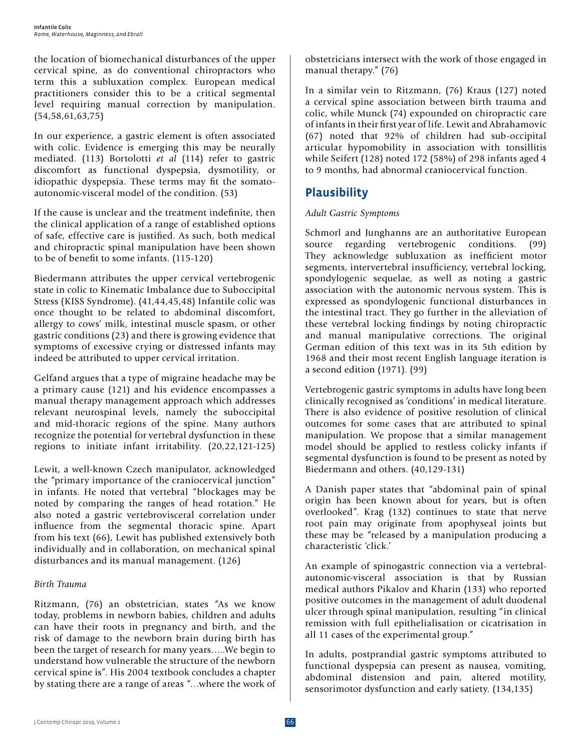the location of biomechanical disturbances of the upper cervical spine, as do conventional chiropractors who term this a subluxation complex. European medical practitioners consider this to be a critical segmental level requiring manual correction by manipulation. (54,58,61,63,75)

In our experience, a gastric element is often associated with colic. Evidence is emerging this may be neurally mediated. (113) Bortolotti *et al* (114) refer to gastric discomfort as functional dyspepsia, dysmotility, or idiopathic dyspepsia. These terms may fit the somatoautonomic-visceral model of the condition. (53)

If the cause is unclear and the treatment indefinite, then the clinical application of a range of established options of safe, effective care is justified. As such, both medical and chiropractic spinal manipulation have been shown to be of benefit to some infants. (115-120)

Biedermann attributes the upper cervical vertebrogenic state in colic to Kinematic Imbalance due to Suboccipital Stress (KISS Syndrome). (41,44,45,48) Infantile colic was once thought to be related to abdominal discomfort, allergy to cows' milk, intestinal muscle spasm, or other gastric conditions (23) and there is growing evidence that symptoms of excessive crying or distressed infants may indeed be attributed to upper cervical irritation.

Gelfand argues that a type of migraine headache may be a primary cause (121) and his evidence encompasses a manual therapy management approach which addresses relevant neurospinal levels, namely the suboccipital and mid-thoracic regions of the spine. Many authors recognize the potential for vertebral dysfunction in these regions to initiate infant irritability. (20,22,121-125)

Lewit, a well-known Czech manipulator, acknowledged the "primary importance of the craniocervical junction" in infants. He noted that vertebral "blockages may be noted by comparing the ranges of head rotation." He also noted a gastric vertebrovisceral correlation under influence from the segmental thoracic spine. Apart from his text (66), Lewit has published extensively both individually and in collaboration, on mechanical spinal disturbances and its manual management. (126)

## *Birth Trauma*

Ritzmann, (76) an obstetrician, states "As we know today, problems in newborn babies, children and adults can have their roots in pregnancy and birth, and the risk of damage to the newborn brain during birth has been the target of research for many years…..We begin to understand how vulnerable the structure of the newborn cervical spine is". His 2004 textbook concludes a chapter by stating there are a range of areas "…where the work of obstetricians intersect with the work of those engaged in manual therapy." (76)

In a similar vein to Ritzmann, (76) Kraus (127) noted a cervical spine association between birth trauma and colic, while Munck (74) expounded on chiropractic care of infants in their first year of life. Lewit and Abrahamovic (67) noted that 92% of children had sub-occipital articular hypomobility in association with tonsillitis while Seifert (128) noted 172 (58%) of 298 infants aged 4 to 9 months, had abnormal craniocervical function.

# **Plausibility**

## *Adult Gastric Symptoms*

Schmorl and Junghanns are an authoritative European source regarding vertebrogenic conditions. (99) They acknowledge subluxation as inefficient motor segments, intervertebral insufficiency, vertebral locking, spondylogenic sequelae, as well as noting a gastric association with the autonomic nervous system. This is expressed as spondylogenic functional disturbances in the intestinal tract. They go further in the alleviation of these vertebral locking findings by noting chiropractic and manual manipulative corrections. The original German edition of this text was in its 5th edition by 1968 and their most recent English language iteration is a second edition (1971). (99)

Vertebrogenic gastric symptoms in adults have long been clinically recognised as 'conditions' in medical literature. There is also evidence of positive resolution of clinical outcomes for some cases that are attributed to spinal manipulation. We propose that a similar management model should be applied to restless colicky infants if segmental dysfunction is found to be present as noted by Biedermann and others. (40,129-131)

A Danish paper states that "abdominal pain of spinal origin has been known about for years, but is often overlooked". Krag (132) continues to state that nerve root pain may originate from apophyseal joints but these may be "released by a manipulation producing a characteristic 'click.'

An example of spinogastric connection via a vertebralautonomic-visceral association is that by Russian medical authors Pikalov and Kharin (133) who reported positive outcomes in the management of adult duodenal ulcer through spinal manipulation, resulting "in clinical remission with full epithelialisation or cicatrisation in all 11 cases of the experimental group."

In adults, postprandial gastric symptoms attributed to functional dyspepsia can present as nausea, vomiting, abdominal distension and pain, altered motility, sensorimotor dysfunction and early satiety. (134,135)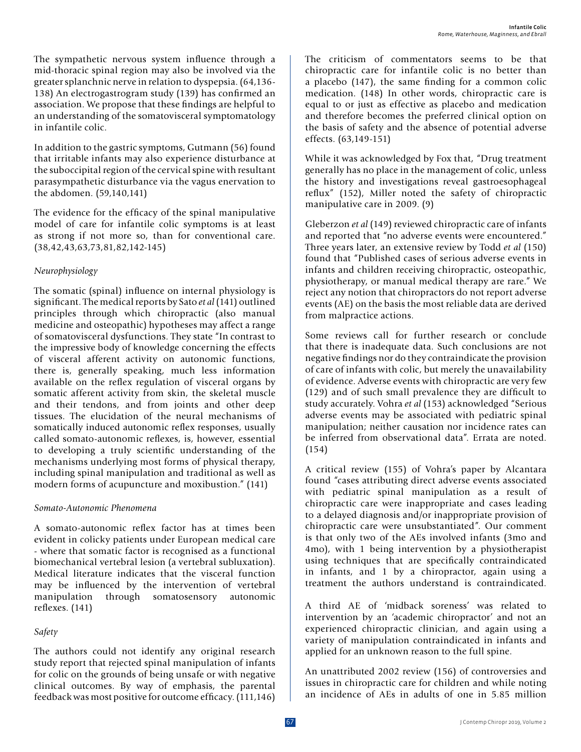In addition to the gastric symptoms, Gutmann (56) found that irritable infants may also experience disturbance at the suboccipital region of the cervical spine with resultant parasympathetic disturbance via the vagus enervation to the abdomen. (59,140,141)

The evidence for the efficacy of the spinal manipulative model of care for infantile colic symptoms is at least as strong if not more so, than for conventional care. (38,42,43,63,73,81,82,142-145)

#### *Neurophysiology*

The somatic (spinal) influence on internal physiology is significant. The medical reports by Sato *et al* (141) outlined principles through which chiropractic (also manual medicine and osteopathic) hypotheses may affect a range of somatovisceral dysfunctions. They state "In contrast to the impressive body of knowledge concerning the effects of visceral afferent activity on autonomic functions, there is, generally speaking, much less information available on the reflex regulation of visceral organs by somatic afferent activity from skin, the skeletal muscle and their tendons, and from joints and other deep tissues. The elucidation of the neural mechanisms of somatically induced autonomic reflex responses, usually called somato-autonomic reflexes, is, however, essential to developing a truly scientific understanding of the mechanisms underlying most forms of physical therapy, including spinal manipulation and traditional as well as modern forms of acupuncture and moxibustion." (141)

#### *Somato-Autonomic Phenomena*

A somato-autonomic reflex factor has at times been evident in colicky patients under European medical care - where that somatic factor is recognised as a functional biomechanical vertebral lesion (a vertebral subluxation). Medical literature indicates that the visceral function may be influenced by the intervention of vertebral manipulation through somatosensory autonomic reflexes. (141)

#### *Safety*

The authors could not identify any original research study report that rejected spinal manipulation of infants for colic on the grounds of being unsafe or with negative clinical outcomes. By way of emphasis, the parental feedback was most positive for outcome efficacy. (111,146) The criticism of commentators seems to be that chiropractic care for infantile colic is no better than a placebo (147), the same finding for a common colic medication. (148) In other words, chiropractic care is equal to or just as effective as placebo and medication and therefore becomes the preferred clinical option on the basis of safety and the absence of potential adverse effects. (63,149-151)

While it was acknowledged by Fox that, "Drug treatment generally has no place in the management of colic, unless the history and investigations reveal gastroesophageal reflux" (152), Miller noted the safety of chiropractic manipulative care in 2009. (9)

Gleberzon *et al* (149) reviewed chiropractic care of infants and reported that "no adverse events were encountered." Three years later, an extensive review by Todd *et al* (150) found that "Published cases of serious adverse events in infants and children receiving chiropractic, osteopathic, physiotherapy, or manual medical therapy are rare." We reject any notion that chiropractors do not report adverse events (AE) on the basis the most reliable data are derived from malpractice actions.

Some reviews call for further research or conclude that there is inadequate data. Such conclusions are not negative findings nor do they contraindicate the provision of care of infants with colic, but merely the unavailability of evidence. Adverse events with chiropractic are very few (129) and of such small prevalence they are difficult to study accurately. Vohra *et al* (153) acknowledged "Serious adverse events may be associated with pediatric spinal manipulation; neither causation nor incidence rates can be inferred from observational data". Errata are noted. (154)

A critical review (155) of Vohra's paper by Alcantara found "cases attributing direct adverse events associated with pediatric spinal manipulation as a result of chiropractic care were inappropriate and cases leading to a delayed diagnosis and/or inappropriate provision of chiropractic care were unsubstantiated". Our comment is that only two of the AEs involved infants (3mo and 4mo), with 1 being intervention by a physiotherapist using techniques that are specifically contraindicated in infants, and 1 by a chiropractor, again using a treatment the authors understand is contraindicated.

A third AE of 'midback soreness' was related to intervention by an 'academic chiropractor' and not an experienced chiropractic clinician, and again using a variety of manipulation contraindicated in infants and applied for an unknown reason to the full spine.

An unattributed 2002 review (156) of controversies and issues in chiropractic care for children and while noting an incidence of AEs in adults of one in 5.85 million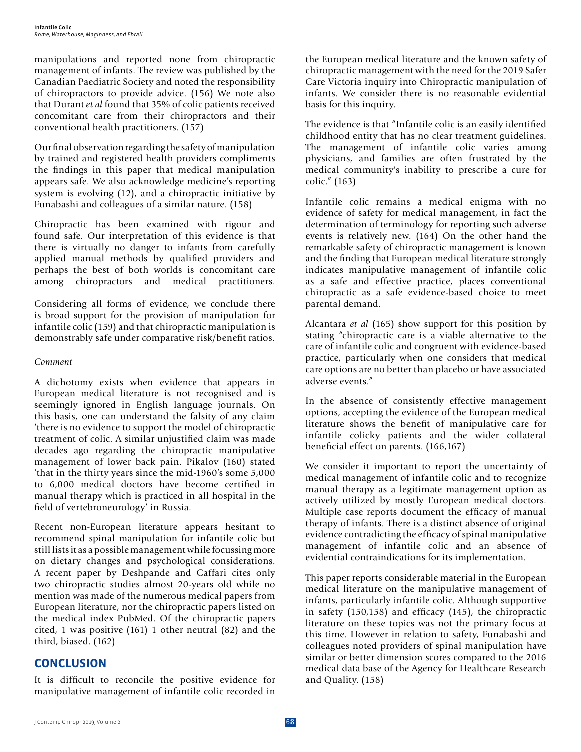manipulations and reported none from chiropractic management of infants. The review was published by the Canadian Paediatric Society and noted the responsibility of chiropractors to provide advice. (156) We note also that Durant *et al* found that 35% of colic patients received concomitant care from their chiropractors and their conventional health practitioners. (157)

Our final observation regarding the safety of manipulation by trained and registered health providers compliments the findings in this paper that medical manipulation appears safe. We also acknowledge medicine's reporting system is evolving (12), and a chiropractic initiative by Funabashi and colleagues of a similar nature. (158)

Chiropractic has been examined with rigour and found safe. Our interpretation of this evidence is that there is virtually no danger to infants from carefully applied manual methods by qualified providers and perhaps the best of both worlds is concomitant care among chiropractors and medical practitioners.

Considering all forms of evidence, we conclude there is broad support for the provision of manipulation for infantile colic (159) and that chiropractic manipulation is demonstrably safe under comparative risk/benefit ratios.

## *Comment*

A dichotomy exists when evidence that appears in European medical literature is not recognised and is seemingly ignored in English language journals. On this basis, one can understand the falsity of any claim 'there is no evidence to support the model of chiropractic treatment of colic. A similar unjustified claim was made decades ago regarding the chiropractic manipulative management of lower back pain. Pikalov (160) stated 'that in the thirty years since the mid-1960's some 5,000 to 6,000 medical doctors have become certified in manual therapy which is practiced in all hospital in the field of vertebroneurology' in Russia.

Recent non-European literature appears hesitant to recommend spinal manipulation for infantile colic but still lists it as a possible management while focussing more on dietary changes and psychological considerations. A recent paper by Deshpande and Caffari cites only two chiropractic studies almost 20-years old while no mention was made of the numerous medical papers from European literature, nor the chiropractic papers listed on the medical index PubMed. Of the chiropractic papers cited, 1 was positive (161) 1 other neutral (82) and the third, biased. (162)

## **CONCLUSION**

It is difficult to reconcile the positive evidence for manipulative management of infantile colic recorded in the European medical literature and the known safety of chiropractic management with the need for the 2019 Safer Care Victoria inquiry into Chiropractic manipulation of infants. We consider there is no reasonable evidential basis for this inquiry.

The evidence is that "Infantile colic is an easily identified childhood entity that has no clear treatment guidelines. The management of infantile colic varies among physicians, and families are often frustrated by the medical community's inability to prescribe a cure for colic." (163)

Infantile colic remains a medical enigma with no evidence of safety for medical management, in fact the determination of terminology for reporting such adverse events is relatively new. (164) On the other hand the remarkable safety of chiropractic management is known and the finding that European medical literature strongly indicates manipulative management of infantile colic as a safe and effective practice, places conventional chiropractic as a safe evidence-based choice to meet parental demand.

Alcantara *et al* (165) show support for this position by stating "chiropractic care is a viable alternative to the care of infantile colic and congruent with evidence-based practice, particularly when one considers that medical care options are no better than placebo or have associated adverse events."

In the absence of consistently effective management options, accepting the evidence of the European medical literature shows the benefit of manipulative care for infantile colicky patients and the wider collateral beneficial effect on parents. (166,167)

We consider it important to report the uncertainty of medical management of infantile colic and to recognize manual therapy as a legitimate management option as actively utilized by mostly European medical doctors. Multiple case reports document the efficacy of manual therapy of infants. There is a distinct absence of original evidence contradicting the efficacy of spinal manipulative management of infantile colic and an absence of evidential contraindications for its implementation.

This paper reports considerable material in the European medical literature on the manipulative management of infants, particularly infantile colic. Although supportive in safety (150,158) and efficacy (145), the chiropractic literature on these topics was not the primary focus at this time. However in relation to safety, Funabashi and colleagues noted providers of spinal manipulation have similar or better dimension scores compared to the 2016 medical data base of the Agency for Healthcare Research and Quality. (158)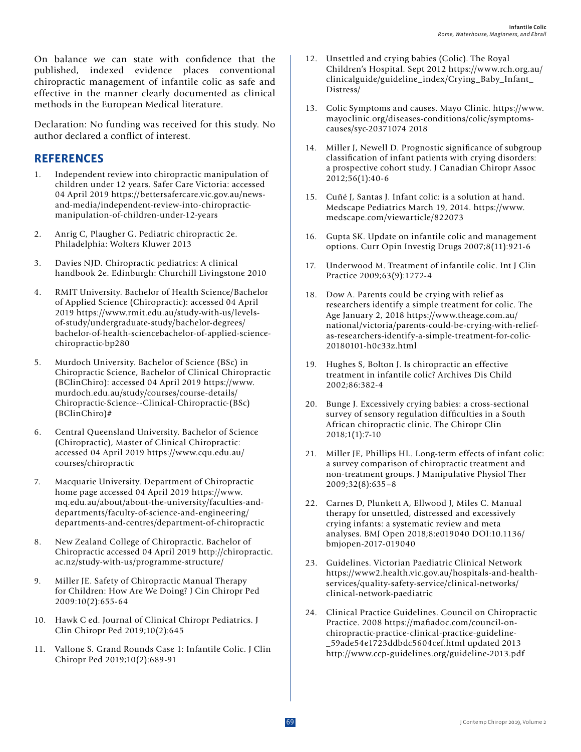On balance we can state with confidence that the published, indexed evidence places conventional chiropractic management of infantile colic as safe and effective in the manner clearly documented as clinical methods in the European Medical literature.

Declaration: No funding was received for this study. No author declared a conflict of interest.

## **REFERENCES**

- 1. Independent review into chiropractic manipulation of children under 12 years. Safer Care Victoria: accessed 04 April 2019 https://bettersafercare.vic.gov.au/newsand-media/independent-review-into-chiropracticmanipulation-of-children-under-12-years
- 2. Anrig C, Plaugher G. Pediatric chiropractic 2e. Philadelphia: Wolters Kluwer 2013
- 3. Davies NJD. Chiropractic pediatrics: A clinical handbook 2e. Edinburgh: Churchill Livingstone 2010
- 4. RMIT University. Bachelor of Health Science/Bachelor of Applied Science (Chiropractic): accessed 04 April 2019 https://www.rmit.edu.au/study-with-us/levelsof-study/undergraduate-study/bachelor-degrees/ bachelor-of-health-sciencebachelor-of-applied-sciencechiropractic-bp280
- 5. Murdoch University. Bachelor of Science (BSc) in Chiropractic Science, Bachelor of Clinical Chiropractic (BClinChiro): accessed 04 April 2019 https://www. murdoch.edu.au/study/courses/course-details/ Chiropractic-Science--Clinical-Chiropractic-(BSc) (BClinChiro)#
- 6. Central Queensland University. Bachelor of Science (Chiropractic), Master of Clinical Chiropractic: accessed 04 April 2019 https://www.cqu.edu.au/ courses/chiropractic
- 7. Macquarie University. Department of Chiropractic home page accessed 04 April 2019 https://www. mq.edu.au/about/about-the-university/faculties-anddepartments/faculty-of-science-and-engineering/ departments-and-centres/department-of-chiropractic
- 8. New Zealand College of Chiropractic. Bachelor of Chiropractic accessed 04 April 2019 http://chiropractic. ac.nz/study-with-us/programme-structure/
- 9. Miller JE. Safety of Chiropractic Manual Therapy for Children: How Are We Doing? J Cin Chiropr Ped 2009:10(2):655-64
- 10. Hawk C ed. Journal of Clinical Chiropr Pediatrics. J Clin Chiropr Ped 2019;10(2):645
- 11. Vallone S. Grand Rounds Case 1: Infantile Colic. J Clin Chiropr Ped 2019;10(2):689-91
- 12. Unsettled and crying babies (Colic). The Royal Children's Hospital. Sept 2012 https://www.rch.org.au/ clinicalguide/guideline\_index/Crying\_Baby\_Infant\_ Distress/
- 13. Colic Symptoms and causes. Mayo Clinic. https://www. mayoclinic.org/diseases-conditions/colic/symptomscauses/syc-20371074 2018
- 14. Miller J, Newell D. Prognostic significance of subgroup classification of infant patients with crying disorders: a prospective cohort study. J Canadian Chiropr Assoc 2012;56(1):40-6
- 15. Cuñé J, Santas J. Infant colic: is a solution at hand. Medscape Pediatrics March 19, 2014. https://www. medscape.com/viewarticle/822073
- 16. Gupta SK. Update on infantile colic and management options. Curr Opin Investig Drugs 2007;8(11):921-6
- 17. Underwood M. Treatment of infantile colic. Int J Clin Practice 2009;63(9):1272-4
- 18. Dow A. Parents could be crying with relief as researchers identify a simple treatment for colic. The Age January 2, 2018 https://www.theage.com.au/ national/victoria/parents-could-be-crying-with-reliefas-researchers-identify-a-simple-treatment-for-colic-20180101-h0c33z.html
- 19. Hughes S, Bolton J. Is chiropractic an effective treatment in infantile colic? Archives Dis Child 2002;86:382-4
- 20. Bunge J. Excessively crying babies: a cross-sectional survey of sensory regulation difficulties in a South African chiropractic clinic. The Chiropr Clin 2018;1(1):7-10
- 21. Miller JE, Phillips HL. Long-term effects of infant colic: a survey comparison of chiropractic treatment and non-treatment groups. J Manipulative Physiol Ther 2009;32(8):635–8
- 22. Carnes D, Plunkett A, Ellwood J, Miles C. Manual therapy for unsettled, distressed and excessively crying infants: a systematic review and meta analyses. BMJ Open 2018;8:e019040 DOI:10.1136/ bmjopen-2017-019040
- 23. Guidelines. Victorian Paediatric Clinical Network https://www2.health.vic.gov.au/hospitals-and-healthservices/quality-safety-service/clinical-networks/ clinical-network-paediatric
- 24. Clinical Practice Guidelines. Council on Chiropractic Practice. 2008 https://mafiadoc.com/council-onchiropractic-practice-clinical-practice-guideline- \_59ade54e1723ddbdc5604cef.html updated 2013 http://www.ccp-guidelines.org/guideline-2013.pdf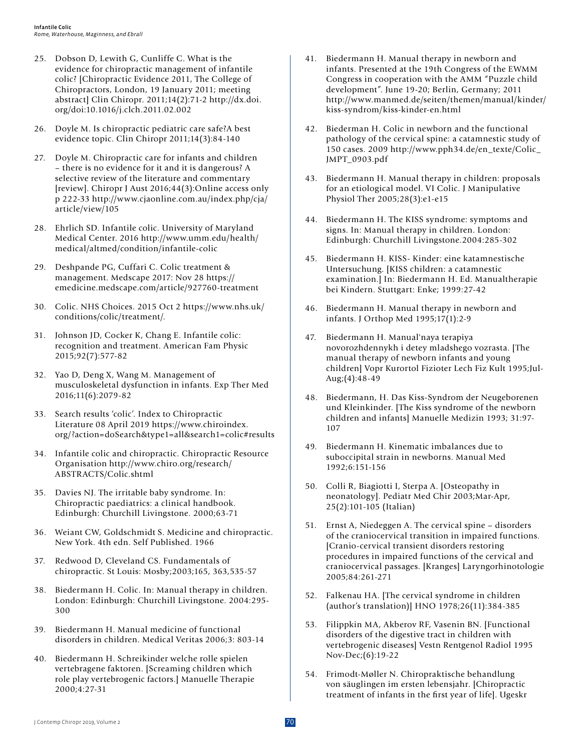- 25. Dobson D, Lewith G, Cunliffe C. What is the evidence for chiropractic management of infantile colic? [Chiropractic Evidence 2011, The College of Chiropractors, London, 19 January 2011; meeting abstract] Clin Chiropr. 2011;14(2):71-2 http://dx.doi. org/doi:10.1016/j.clch.2011.02.002
- 26. Doyle M. Is chiropractic pediatric care safe?A best evidence topic. Clin Chiropr 2011;14(3):84-140
- 27. Doyle M. Chiropractic care for infants and children – there is no evidence for it and it is dangerous? A selective review of the literature and commentary [review]. Chiropr J Aust 2016;44(3):Online access only p 222-33 http://www.cjaonline.com.au/index.php/cja/ article/view/105
- 28. Ehrlich SD. Infantile colic. University of Maryland Medical Center. 2016 http://www.umm.edu/health/ medical/altmed/condition/infantile-colic
- 29. Deshpande PG, Cuffari C. Colic treatment & management. Medscape 2017: Nov 28 https:// emedicine.medscape.com/article/927760-treatment
- 30. Colic. NHS Choices. 2015 Oct 2 https://www.nhs.uk/ conditions/colic/treatment/.
- 31. Johnson JD, Cocker K, Chang E. Infantile colic: recognition and treatment. American Fam Physic 2015;92(7):577-82
- 32. Yao D, Deng X, Wang M. Management of musculoskeletal dysfunction in infants. Exp Ther Med 2016;11(6):2079-82
- 33. Search results 'colic'. Index to Chiropractic Literature 08 April 2019 https://www.chiroindex. org/?action=doSearch&type1=all&search1=colic#results
- 34. Infantile colic and chiropractic. Chiropractic Resource Organisation http://www.chiro.org/research/ ABSTRACTS/Colic.shtml
- 35. Davies NJ. The irritable baby syndrome. In: Chiropractic paediatrics: a clinical handbook. Edinburgh: Churchill Livingstone. 2000;63-71
- 36. Weiant CW, Goldschmidt S. Medicine and chiropractic. New York. 4th edn. Self Published. 1966
- 37. Redwood D, Cleveland CS. Fundamentals of chiropractic. St Louis: Mosby;2003;165, 363,535-57
- 38. Biedermann H. Colic. In: Manual therapy in children. London: Edinburgh: Churchill Livingstone. 2004:295- 300
- 39. Biedermann H. Manual medicine of functional disorders in children. Medical Veritas 2006;3: 803-14
- 40. Biedermann H. Schreikinder welche rolle spielen vertebragene faktoren. [Screaming children which role play vertebrogenic factors.] Manuelle Therapie 2000;4:27-31
- 41. Biedermann H. Manual therapy in newborn and infants. Presented at the 19th Congress of the EWMM Congress in cooperation with the AMM "Puzzle child development". June 19-20; Berlin, Germany; 2011 http://www.manmed.de/seiten/themen/manual/kinder/ kiss-syndrom/kiss-kinder-en.html
- 42. Biederman H. Colic in newborn and the functional pathology of the cervical spine: a catamnestic study of 150 cases. 2009 http://www.pph34.de/en\_texte/Colic\_ JMPT\_0903.pdf
- 43. Biedermann H. Manual therapy in children: proposals for an etiological model. VI Colic. J Manipulative Physiol Ther 2005;28(3):e1-e15
- 44. Biedermann H. The KISS syndrome: symptoms and signs. In: Manual therapy in children. London: Edinburgh: Churchill Livingstone.2004:285-302
- 45. Biedermann H. KISS- Kinder: eine katamnestische Untersuchung. [KISS children: a catamnestic examination.] In: Biedermann H. Ed. Manualtherapie bei Kindern. Stuttgart: Enke; 1999:27-42
- 46. Biedermann H. Manual therapy in newborn and infants. J Orthop Med 1995;17(1):2-9
- 47. Biedermann H. Manual'naya terapiya novorozhdennykh i detey mladshego vozrasta. [The manual therapy of newborn infants and young children] Vopr Kurortol Fizioter Lech Fiz Kult 1995;Jul- $Aug: (4): 48-49$
- 48. Biedermann, H. Das Kiss-Syndrom der Neugeborenen und Kleinkinder. [The Kiss syndrome of the newborn children and infants] Manuelle Medizin 1993; 31:97- 107
- 49. Biedermann H. Kinematic imbalances due to suboccipital strain in newborns. Manual Med 1992;6:151-156
- 50. Colli R, Biagiotti I, Sterpa A. [Osteopathy in neonatology]. Pediatr Med Chir 2003;Mar-Apr, 25(2):101-105 (Italian)
- 51. Ernst A, Niedeggen A. The cervical spine disorders of the craniocervical transition in impaired functions. [Cranio-cervical transient disorders restoring procedures in impaired functions of the cervical and craniocervical passages. [Kranges] Laryngorhinotologie 2005;84:261-271
- 52. Falkenau HA. [The cervical syndrome in children (author's translation)] HNO 1978;26(11):384-385
- 53. Filippkin MA, Akberov RF, Vasenin BN. [Functional disorders of the digestive tract in children with vertebrogenic diseases] Vestn Rentgenol Radiol 1995 Nov-Dec;(6):19-22
- 54. Frimodt-Møller N. Chiropraktische behandlung von säuglingen im ersten lebensjahr. [Chiropractic treatment of infants in the first year of life]. Ugeskr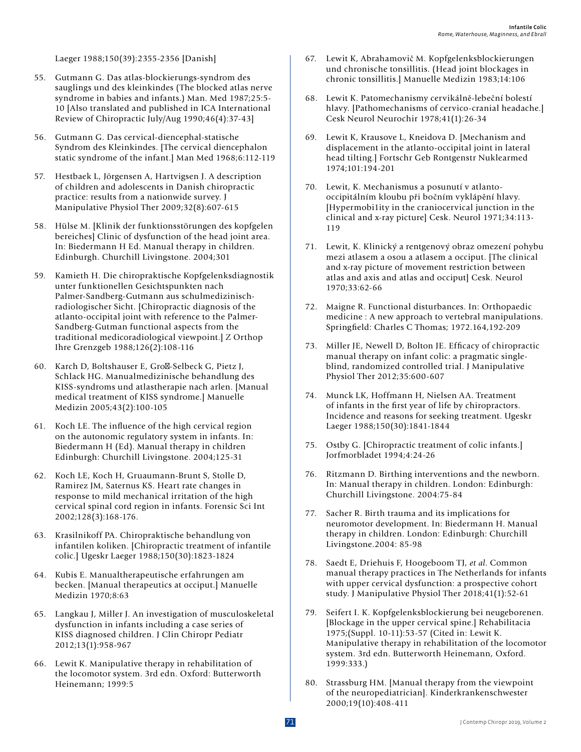Laeger 1988;150(39):2355-2356 [Danish]

- 55. Gutmann G. Das atlas-blockierungs-syndrom des sauglings und des kleinkindes (The blocked atlas nerve syndrome in babies and infants.) Man. Med 1987;25:5- 10 [Also translated and published in ICA International Review of Chiropractic July/Aug 1990;46(4):37-43]
- 56. Gutmann G. Das cervical-diencephal-statische Syndrom des Kleinkindes. [The cervical diencephalon static syndrome of the infant.] Man Med 1968;6:112-119
- 57. Hestbaek L, Jörgensen A, Hartvigsen J. A description of children and adolescents in Danish chiropractic practice: results from a nationwide survey. J Manipulative Physiol Ther 2009;32(8):607-615
- 58. Hülse M. [Klinik der funktionsstörungen des kopfgelen bereiches] Clinic of dysfunction of the head joint area. In: Biedermann H Ed. Manual therapy in children. Edinburgh. Churchill Livingstone. 2004;301
- 59. Kamieth H. Die chiropraktische Kopfgelenksdiagnostik unter funktionellen Gesichtspunkten nach Palmer-Sandberg-Gutmann aus schulmedizinischradiologischer Sicht. [Chiropractic diagnosis of the atlanto-occipital joint with reference to the Palmer-Sandberg-Gutman functional aspects from the traditional medicoradiological viewpoint.] Z Orthop Ihre Grenzgeb 1988;126(2):108-116
- 60. Karch D, Boltshauser E, Gro -Selbeck G, Pietz J, Schlack HG. Manualmedizinische behandlung des KISS-syndroms und atlastherapie nach arlen. [Manual medical treatment of KISS syndrome.] Manuelle Medizin 2005;43(2):100-105
- 61. Koch LE. The influence of the high cervical region on the autonomic regulatory system in infants. In: Biedermann H (Ed). Manual therapy in children Edinburgh: Churchill Livingstone. 2004;125-31
- 62. Koch LE, Koch H, Gruaumann-Brunt S, Stolle D, Ramirez JM, Saternus KS. Heart rate changes in response to mild mechanical irritation of the high cervical spinal cord region in infants. Forensic Sci Int 2002;128(3):168-176.
- 63. Krasilnikoff PA. Chiropraktische behandlung von infantilen koliken. [Chiropractic treatment of infantile colic.] Ugeskr Laeger 1988;150(30):1823-1824
- 64. Kubis E. Manualtherapeutische erfahrungen am becken. [Manual therapeutics at occiput.] Manuelle Medizin 1970;8:63
- 65. Langkau J, Miller J. An investigation of musculoskeletal dysfunction in infants including a case series of KISS diagnosed children. J Clin Chiropr Pediatr 2012;13(1):958-967
- 66. Lewit K. Manipulative therapy in rehabilitation of the locomotor system. 3rd edn. Oxford: Butterworth Heinemann; 1999:5
- 67. Lewit K, Abrahamovič M. Kopfgelenksblockierungen und chronische tonsillitis. (Head joint blockages in chronic tonsillitis.] Manuelle Medizin 1983;14:106
- 68. Lewit K. Patomechanismy cervikálně-lebeční bolestí hlavy. [Pathomechanisms of cervico-cranial headache.] Cesk Neurol Neurochir 1978;41(1):26-34
- 69. Lewit K, Krausove L, Kneidova D. [Mechanism and displacement in the atlanto-occipital joint in lateral head tilting.] Fortschr Geb Rontgenstr Nuklearmed 1974;101:194-201
- 70. Lewit, K. Mechanismus a posunutí v atlantooccipitálním kloubu při bočním vyklápění hlavy. [Hypermobi1ity in the craniocervical junction in the clinical and x-ray picture] Cesk. Neurol 1971;34:113- 119
- 71. Lewit, K. Klinický a rentgenový obraz omezení pohybu mezi atlasem a osou a atlasem a occiput. [The clinical and x-ray picture of movement restriction between atlas and axis and atlas and occiput] Cesk. Neurol 1970;33:62-66
- 72. Maigne R. Functional disturbances. In: Orthopaedic medicine : A new approach to vertebral manipulations. Springfield: Charles C Thomas; 1972.164,192-209
- 73. Miller JE, Newell D, Bolton JE. Efficacy of chiropractic manual therapy on infant colic: a pragmatic singleblind, randomized controlled trial. J Manipulative Physiol Ther 2012;35:600-607
- 74. Munck LK, Hoffmann H, Nielsen AA. Treatment of infants in the first year of life by chiropractors. Incidence and reasons for seeking treatment. Ugeskr Laeger 1988;150(30):1841-1844
- 75. Ostby G. [Chiropractic treatment of colic infants.] Jorfmorbladet 1994;4:24-26
- 76. Ritzmann D. Birthing interventions and the newborn. In: Manual therapy in children. London: Edinburgh: Churchill Livingstone. 2004:75-84
- 77. Sacher R. Birth trauma and its implications for neuromotor development. In: Biedermann H. Manual therapy in children. London: Edinburgh: Churchill Livingstone.2004: 85-98
- 78. Saedt E, Driehuis F, Hoogeboom TJ, *et al*. Common manual therapy practices in The Netherlands for infants with upper cervical dysfunction: a prospective cohort study. J Manipulative Physiol Ther 2018;41(1):52-61
- 79. Seifert I. K. Kopfgelenksblockierung bei neugeborenen. [Blockage in the upper cervical spine.] Rehabilitacia 1975;(Suppl. 10-11):53-57 (Cited in: Lewit K. Manipulative therapy in rehabilitation of the locomotor system. 3rd edn. Butterworth Heinemann, Oxford. 1999:333.)
- 80. Strassburg HM. [Manual therapy from the viewpoint of the neuropediatrician]. Kinderkrankenschwester 2000;19(10):408-411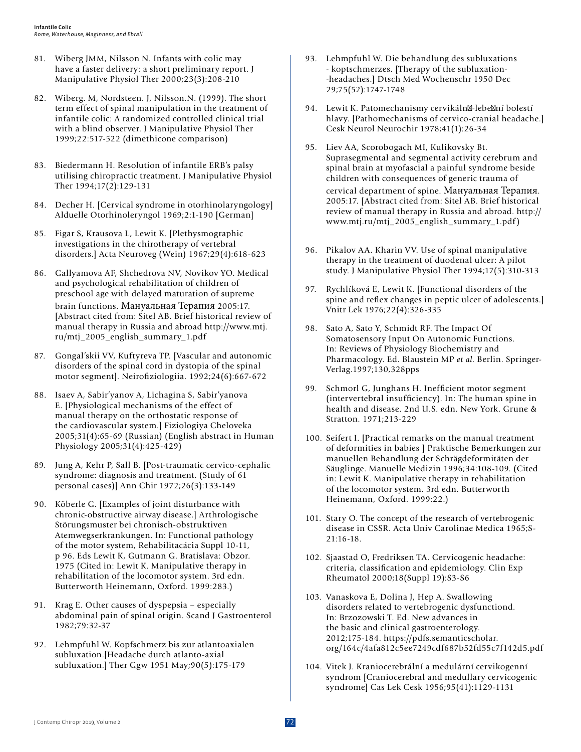- 81. Wiberg JMM, Nilsson N. Infants with colic may have a faster delivery: a short preliminary report. J Manipulative Physiol Ther 2000;23(3):208-210
- 82. Wiberg. M, Nordsteen. J, Nilsson.N. (1999). The short term effect of spinal manipulation in the treatment of infantile colic: A randomized controlled clinical trial with a blind observer. J Manipulative Physiol Ther 1999;22:517-522 (dimethicone comparison)
- 83. Biedermann H. Resolution of infantile ERB's palsy utilising chiropractic treatment. J Manipulative Physiol Ther 1994;17(2):129-131
- 84. Decher H. [Cervical syndrome in otorhinolaryngology] Alduelle Otorhinoleryngol 1969;2:1-190 [German]
- 85. Figar S, Krausova L, Lewit K. [Plethysmographic investigations in the chirotherapy of vertebral disorders.] Acta Neuroveg (Wein) 1967;29(4):618-623
- 86. Gallyamova AF, Shchedrova NV, Novikov YO. Medical and psychological rehabilitation of children of preschool age with delayed maturation of supreme brain functions. Мануальная Терапия 2005:17. [Abstract cited from: Sitel AB. Brief historical review of manual therapy in Russia and abroad http://www.mtj. ru/mtj\_2005\_english\_summary\_1.pdf
- 87. Gongal'skii VV, Kuftyreva TP. [Vascular and autonomic disorders of the spinal cord in dystopia of the spinal motor segment]. Neirofiziologiia. 1992;24(6):667-672
- 88. Isaev A, Sabir'yanov A, Lichagina S, Sabir'yanova E. [Physiological mechanisms of the effect of manual therapy on the orthostatic response of the cardiovascular system.] Fiziologiya Cheloveka 2005;31(4):65-69 (Russian) (English abstract in Human Physiology 2005;31(4):425-429)
- 89. Jung A, Kehr P, Sall B. [Post-traumatic cervico-cephalic syndrome: diagnosis and treatment. (Study of 61 personal cases)] Ann Chir 1972;26(3):133-149
- 90. Köberle G. [Examples of joint disturbance with chronic-obstructive airway disease.] Arthrologische Störungsmuster bei chronisch-obstruktiven Atemwegserkrankungen. In: Functional pathology of the motor system, Rehabilitacácia Suppl 10-11, p 96. Eds Lewit K, Gutmann G. Bratislava: Obzor. 1975 (Cited in: Lewit K. Manipulative therapy in rehabilitation of the locomotor system. 3rd edn. Butterworth Heinemann, Oxford. 1999:283.)
- 91. Krag E. Other causes of dyspepsia especially abdominal pain of spinal origin. Scand J Gastroenterol 1982;79:32-37
- 92. Lehmpfuhl W. Kopfschmerz bis zur atlantoaxialen subluxation.[Headache durch atlanto-axial subluxation.] Ther Ggw 1951 May;90(5):175-179
- 93. Lehmpfuhl W. Die behandlung des subluxations - koptschmerzes. [Therapy of the subluxation- -headaches.] Dtsch Med Wochenschr 1950 Dec 29;75(52):1747-1748
- 94. Lewit K. Patomechanismy cervikáln -lebe ní bolestí hlavy. [Pathomechanisms of cervico-cranial headache.] Cesk Neurol Neurochir 1978;41(1):26-34
- 95. Liev AA, Scorobogach MI, Kulikovsky Bt. Suprasegmental and segmental activity cerebrum and spinal brain at myofascial a painful syndrome beside children with consequences of generic trauma of cervical department of spine. Мануальная Терапия. 2005:17. [Abstract cited from: Sitel AB. Brief historical review of manual therapy in Russia and abroad. http:// www.mtj.ru/mtj\_2005\_english\_summary\_1.pdf)
- 96. Pikalov AA. Kharin VV. Use of spinal manipulative therapy in the treatment of duodenal ulcer: A pilot study. J Manipulative Physiol Ther 1994;17(5):310-313
- 97. Rychlíková E, Lewit K. [Functional disorders of the spine and reflex changes in peptic ulcer of adolescents.] Vnitr Lek 1976;22(4):326-335
- 98. Sato A, Sato Y, Schmidt RF. The Impact Of Somatosensory Input On Autonomic Functions. In: Reviews of Physiology Biochemistry and Pharmacology. Ed. Blaustein MP *et al*. Berlin. Springer-Verlag.1997;130,328pps
- 99. Schmorl G, Junghans H. Inefficient motor segment (intervertebral insufficiency). In: The human spine in health and disease. 2nd U.S. edn. New York. Grune & Stratton. 1971;213-229
- 100. Seifert I. [Practical remarks on the manual treatment of deformities in babies ] Praktische Bemerkungen zur manuellen Behandlung der Schrägdeformitäten der Säuglinge. Manuelle Medizin 1996;34:108-109. (Cited in: Lewit K. Manipulative therapy in rehabilitation of the locomotor system. 3rd edn. Butterworth Heinemann, Oxford. 1999:22.)
- 101. Stary O. The concept of the research of vertebrogenic disease in CSSR. Acta Univ Carolinae Medica 1965;S-21:16-18.
- 102. Sjaastad O, Fredriksen TA. Cervicogenic headache: criteria, classification and epidemiology. Clin Exp Rheumatol 2000;18(Suppl 19):S3-S6
- 103. Vanaskova E, Dolina J, Hep A. Swallowing disorders related to vertebrogenic dysfunctiond. In: Brzozowski T. Ed. New advances in the basic and clinical gastroenterology. 2012;175-184. https://pdfs.semanticscholar. org/164c/4afa812c5ee7249cdf687b52fd55c7f142d5.pdf
- 104. Vitek J. Kraniocerebrální a medulární cervikogenní syndrom [Craniocerebral and medullary cervicogenic syndrome] Cas Lek Cesk 1956;95(41):1129-1131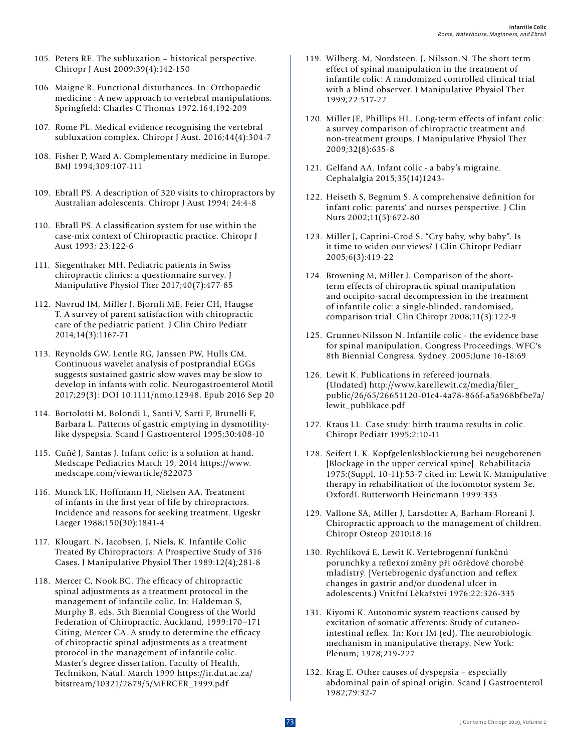- 105. Peters RE. The subluxation historical perspective. Chiropr J Aust 2009;39(4):142-150
- 106. Maigne R. Functional disturbances. In: Orthopaedic medicine : A new approach to vertebral manipulations. Springfield: Charles C Thomas 1972.164,192-209
- 107. Rome PL. Medical evidence recognising the vertebral subluxation complex. Chiropr J Aust. 2016;44(4):304-7
- 108. Fisher P, Ward A. Complementary medicine in Europe. BMJ 1994;309:107-111
- 109. Ebrall PS. A description of 320 visits to chiropractors by Australian adolescents. Chiropr J Aust 1994; 24:4-8
- 110. Ebrall PS. A classification system for use within the case-mix context of Chiropractic practice. Chiropr J Aust 1993; 23:122-6
- 111. Siegenthaker MH. Pediatric patients in Swiss chiropractic clinics: a questionnaire survey. J Manipulative Physiol Ther 2017;40(7):477-85
- 112. Navrud IM, Miller J, Bjornli ME, Feier CH, Haugse T. A survey of parent satisfaction with chiropractic care of the pediatric patient. J Clin Chiro Pediatr 2014;14(3):1167-71
- 113. Reynolds GW, Lentle RG, Janssen PW, Hulls CM. Continuous wavelet analysis of postprandial EGGs suggests sustained gastric slow waves may be slow to develop in infants with colic. Neurogastroenterol Motil 2017;29(3): DOI 10.1111/nmo.12948. Epub 2016 Sep 20
- 114. Bortolotti M, Bolondi L, Santi V, Sarti F, Brunelli F, Barbara L. Patterns of gastric emptying in dysmotilitylike dyspepsia. Scand J Gastroenterol 1995;30:408-10
- 115. Cuñé J, Santas J. Infant colic: is a solution at hand. Medscape Pediatrics March 19, 2014 https://www. medscape.com/viewarticle/822073
- 116. Munck LK, Hoffmann H, Nielsen AA. Treatment of infants in the first year of life by chiropractors. Incidence and reasons for seeking treatment. Ugeskr Laeger 1988;150(30):1841-4
- 117. Klougart. N, Jacobsen. J, Niels, K. Infantile Colic Treated By Chiropractors: A Prospective Study of 316 Cases. J Manipulative Physiol Ther 1989:12(4);281-8
- 118. Mercer C, Nook BC. The efficacy of chiropractic spinal adjustments as a treatment protocol in the management of infantile colic. In: Haldeman S, Murphy B, eds. 5th Biennial Congress of the World Federation of Chiropractic. Auckland, 1999:170–171 Citing, Mercer CA. A study to determine the efficacy of chiropractic spinal adjustments as a treatment protocol in the management of infantile colic. Master's degree dissertation. Faculty of Health, Technikon, Natal. March 1999 https://ir.dut.ac.za/ bitstream/10321/2879/5/MERCER\_1999.pdf
- 119. Wilberg. M, Nordsteen. J, Nilsson.N. The short term effect of spinal manipulation in the treatment of infantile colic: A randomized controlled clinical trial with a blind observer. J Manipulative Physiol Ther 1999;22:517-22
- 120. Miller JE, Phillips HL. Long-term effects of infant colic: a survey comparison of chiropractic treatment and non-treatment groups. J Manipulative Physiol Ther 2009;32(8):635-8
- 121. Gelfand AA. Infant colic a baby's migraine. Cephalalgia 2015;35(14)1243-
- 122. Heiseth S, Begnum S. A comprehensive definition for infant colic: parents' and nurses perspective. J Clin Nurs 2002;11(5):672-80
- 123. Miller J, Caprini-Crod S. "Cry baby, why baby". Is it time to widen our views? J Clin Chiropr Pediatr 2005;6(3):419-22
- 124. Browning M, Miller J. Comparison of the shortterm effects of chiropractic spinal manipulation and occipito-sacral decompression in the treatment of infantile colic: a single-blinded, randomised, comparison trial. Clin Chiropr 2008;11(3):122-9
- 125. Grunnet-Nilsson N. Infantile colic the evidence base for spinal manipulation. Congress Proceedings. WFC's 8th Biennial Congress. Sydney. 2005;June 16-18:69
- 126. Lewit K. Publications in refereed journals. (Undated) http://www.karellewit.cz/media/filer\_ public/26/65/26651120-01c4-4a78-866f-a5a968bfbe7a/ lewit\_publikace.pdf
- 127. Kraus LL. Case study: birth trauma results in colic. Chiropr Pediatr 1995;2:10-11
- 128. Seifert I. K. Kopfgelenksblockierung bei neugeborenen [Blockage in the upper cervical spine]. Rehabilitacia 1975;(Suppl. 10-11):53-7 cited in: Lewit K. Manipulative therapy in rehabilitation of the locomotor system 3e. OxfordL Butterworth Heinemann 1999:333
- 129. Vallone SA, Miller J, Larsdotter A, Barham-Floreani J. Chiropractic approach to the management of children. Chiropr Osteop 2010;18:16
- 130. Rychliková E, Lewit K. Vertebrogenní funkčnú porunchky a reflexní zmĕny při oõrèdové chorobé mladistrý. [Vertebrogenic dysfunction and reflex changes in gastric and/or duodenal ulcer in adolescents.) Vnitřní Lèkařstvi 1976:22:326-335
- 131. Kiyomi K. Autonomic system reactions caused by excitation of somatic afferents: Study of cutaneointestinal reflex. In: Korr IM (ed), The neurobiologic mechanism in manipulative therapy. New York: Plenum; 1978;219-227
- 132. Krag E. Other causes of dyspepsia especially abdominal pain of spinal origin. Scand J Gastroenterol 1982;79:32-7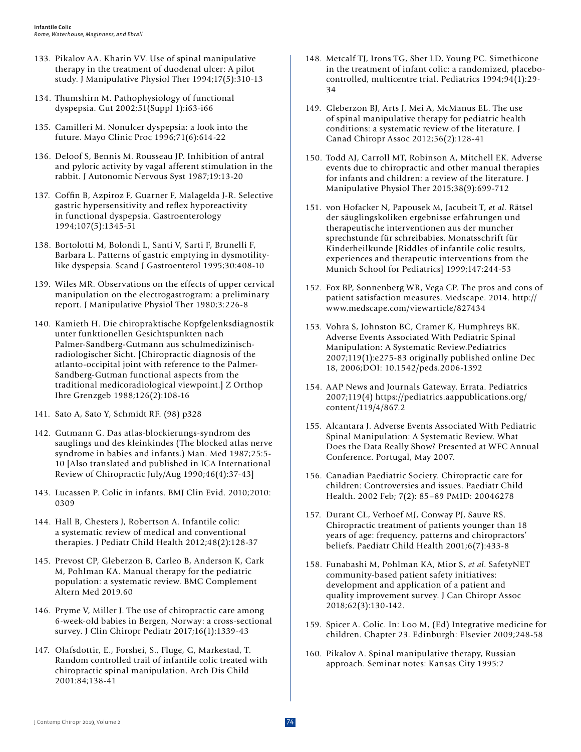- 133. Pikalov AA. Kharin VV. Use of spinal manipulative therapy in the treatment of duodenal ulcer: A pilot study. J Manipulative Physiol Ther 1994;17(5):310-13
- 134. Thumshirn M. Pathophysiology of functional dyspepsia. Gut 2002;51(Suppl 1):i63-i66
- 135. Camilleri M. Nonulcer dyspepsia: a look into the future. Mayo Clinic Proc 1996;71(6):614-22
- 136. Deloof S, Bennis M. Rousseau JP. Inhibition of antral and pyloric activity by vagal afferent stimulation in the rabbit. J Autonomic Nervous Syst 1987;19:13-20
- 137. Coffin B, Azpiroz F, Guarner F, Malagelda J-R. Selective gastric hypersensitivity and reflex hyporeactivity in functional dyspepsia. Gastroenterology 1994;107(5):1345-51
- 138. Bortolotti M, Bolondi L, Santi V, Sarti F, Brunelli F, Barbara L. Patterns of gastric emptying in dysmotilitylike dyspepsia. Scand J Gastroenterol 1995;30:408-10
- 139. Wiles MR. Observations on the effects of upper cervical manipulation on the electrogastrogram: a preliminary report. J Manipulative Physiol Ther 1980;3:226-8
- 140. Kamieth H. Die chiropraktische Kopfgelenksdiagnostik unter funktionellen Gesichtspunkten nach Palmer-Sandberg-Gutmann aus schulmedizinischradiologischer Sicht. [Chiropractic diagnosis of the atlanto-occipital joint with reference to the Palmer-Sandberg-Gutman functional aspects from the traditional medicoradiological viewpoint.] Z Orthop Ihre Grenzgeb 1988;126(2):108-16
- 141. Sato A, Sato Y, Schmidt RF. (98) p328
- 142. Gutmann G. Das atlas-blockierungs-syndrom des sauglings und des kleinkindes (The blocked atlas nerve syndrome in babies and infants.) Man. Med 1987;25:5- 10 [Also translated and published in ICA International Review of Chiropractic July/Aug 1990;46(4):37-43]
- 143. Lucassen P. Colic in infants. BMJ Clin Evid. 2010;2010: 0309
- 144. Hall B, Chesters J, Robertson A. Infantile colic: a systematic review of medical and conventional therapies. J Pediatr Child Health 2012;48(2):128-37
- 145. Prevost CP, Gleberzon B, Carleo B, Anderson K, Cark M, Pohlman KA. Manual therapy for the pediatric population: a systematic review. BMC Complement Altern Med 2019.60
- 146. Pryme V, Miller J. The use of chiropractic care among 6-week-old babies in Bergen, Norway: a cross-sectional survey. J Clin Chiropr Pediatr 2017;16(1):1339-43
- 147. Olafsdottir, E., Forshei, S., Fluge, G, Markestad, T. Random controlled trail of infantile colic treated with chiropractic spinal manipulation. Arch Dis Child 2001:84;138-41
- 148. Metcalf TJ, Irons TG, Sher LD, Young PC. Simethicone in the treatment of infant colic: a randomized, placebocontrolled, multicentre trial. Pediatrics 1994;94(1):29- 34
- 149. Gleberzon BJ, Arts J, Mei A, McManus EL. The use of spinal manipulative therapy for pediatric health conditions: a systematic review of the literature. J Canad Chiropr Assoc 2012;56(2):128-41
- 150. Todd AJ, Carroll MT, Robinson A, Mitchell EK. Adverse events due to chiropractic and other manual therapies for infants and children: a review of the literature. J Manipulative Physiol Ther 2015;38(9):699-712
- 151. von Hofacker N, Papousek M, Jacubeit T, *et al*. Rätsel der säuglingskoliken ergebnisse erfahrungen und therapeutische interventionen aus der muncher sprechstunde für schreibabies. Monatsschrift für Kinderheilkunde [Riddles of infantile colic results, experiences and therapeutic interventions from the Munich School for Pediatrics] 1999;147:244-53
- 152. Fox BP, Sonnenberg WR, Vega CP. The pros and cons of patient satisfaction measures. Medscape. 2014. http:// www.medscape.com/viewarticle/827434
- 153. Vohra S, Johnston BC, Cramer K, Humphreys BK. Adverse Events Associated With Pediatric Spinal Manipulation: A Systematic Review.Pediatrics 2007;119(1):e275-83 originally published online Dec 18, 2006;DOI: 10.1542/peds.2006-1392
- 154. AAP News and Journals Gateway. Errata. Pediatrics 2007;119(4) https://pediatrics.aappublications.org/ content/119/4/867.2
- 155. Alcantara J. Adverse Events Associated With Pediatric Spinal Manipulation: A Systematic Review. What Does the Data Really Show? Presented at WFC Annual Conference. Portugal, May 2007.
- 156. Canadian Paediatric Society. Chiropractic care for children: Controversies and issues. Paediatr Child Health. 2002 Feb; 7(2): 85–89 PMID: 20046278
- 157. Durant CL, Verhoef MJ, Conway PJ, Sauve RS. Chiropractic treatment of patients younger than 18 years of age: frequency, patterns and chiropractors' beliefs. Paediatr Child Health 2001;6(7):433-8
- 158. Funabashi M, Pohlman KA, Mior S, *et al*. SafetyNET community-based patient safety initiatives: development and application of a patient and quality improvement survey. J Can Chiropr Assoc 2018;62(3):130-142.
- 159. Spicer A. Colic. In: Loo M, (Ed) Integrative medicine for children. Chapter 23. Edinburgh: Elsevier 2009;248-58
- 160. Pikalov A. Spinal manipulative therapy, Russian approach. Seminar notes: Kansas City 1995:2